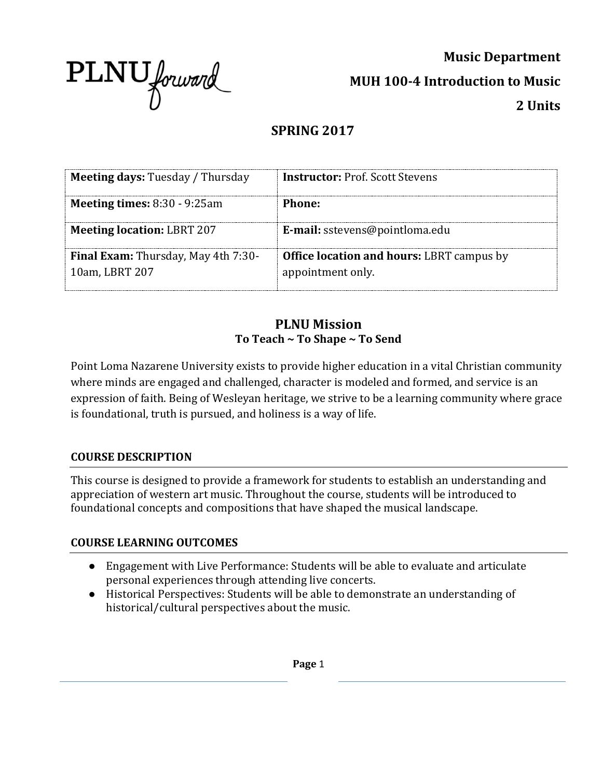

**Music Department MUH 100-4 Introduction to Music 2 Units**

# **SPRING 2017**

| <b>Meeting days: Tuesday / Thursday</b>                      | <b>Instructor:</b> Prof. Scott Stevens                                |
|--------------------------------------------------------------|-----------------------------------------------------------------------|
| <b>Meeting times:</b> $8:30 - 9:25am$                        | Phone:                                                                |
| <b>Meeting location: LBRT 207</b>                            | E-mail: sstevens@pointloma.edu                                        |
| <b>Final Exam:</b> Thursday, May 4th 7:30-<br>10am, LBRT 207 | <b>Office location and hours: LBRT campus by</b><br>appointment only. |

## **PLNU Mission To Teach ~ To Shape ~ To Send**

Point Loma Nazarene University exists to provide higher education in a vital Christian community where minds are engaged and challenged, character is modeled and formed, and service is an expression of faith. Being of Wesleyan heritage, we strive to be a learning community where grace is foundational, truth is pursued, and holiness is a way of life.

### **COURSE DESCRIPTION**

This course is designed to provide a framework for students to establish an understanding and appreciation of western art music. Throughout the course, students will be introduced to foundational concepts and compositions that have shaped the musical landscape.

### **COURSE LEARNING OUTCOMES**

- Engagement with Live Performance: Students will be able to evaluate and articulate personal experiences through attending live concerts.
- Historical Perspectives: Students will be able to demonstrate an understanding of historical/cultural perspectives about the music.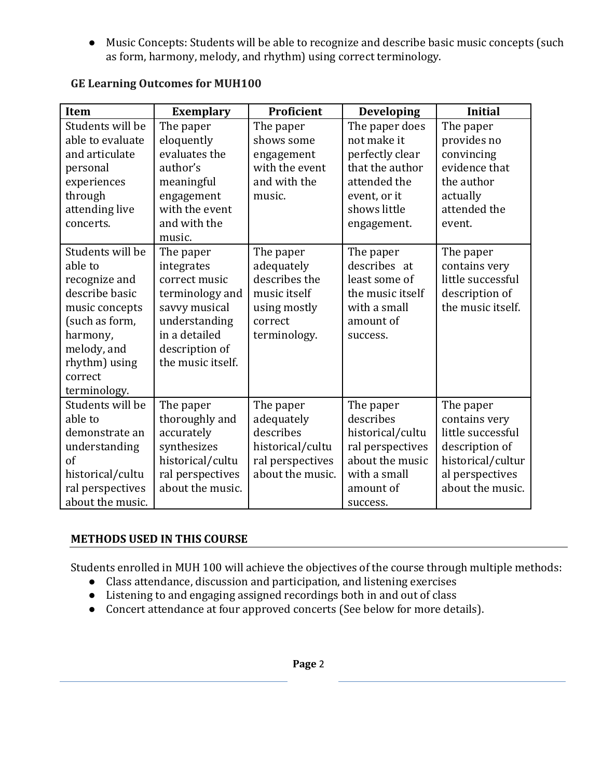● Music Concepts: Students will be able to recognize and describe basic music concepts (such as form, harmony, melody, and rhythm) using correct terminology.

| Item             | <b>Exemplary</b>  | Proficient       | <b>Developing</b> | <b>Initial</b>    |
|------------------|-------------------|------------------|-------------------|-------------------|
| Students will be | The paper         | The paper        | The paper does    | The paper         |
| able to evaluate | eloquently        | shows some       | not make it       | provides no       |
| and articulate   | evaluates the     | engagement       | perfectly clear   | convincing        |
| personal         | author's          | with the event   | that the author   | evidence that     |
| experiences      | meaningful        | and with the     | attended the      | the author        |
| through          | engagement        | music.           | event, or it      | actually          |
| attending live   | with the event    |                  | shows little      | attended the      |
| concerts.        | and with the      |                  | engagement.       | event.            |
|                  | music.            |                  |                   |                   |
| Students will be | The paper         | The paper        | The paper         | The paper         |
| able to          | integrates        | adequately       | describes at      | contains very     |
| recognize and    | correct music     | describes the    | least some of     | little successful |
| describe basic   | terminology and   | music itself     | the music itself  | description of    |
| music concepts   | savvy musical     | using mostly     | with a small      | the music itself. |
| (such as form,   | understanding     | correct          | amount of         |                   |
| harmony,         | in a detailed     | terminology.     | success.          |                   |
| melody, and      | description of    |                  |                   |                   |
| rhythm) using    | the music itself. |                  |                   |                   |
| correct          |                   |                  |                   |                   |
| terminology.     |                   |                  |                   |                   |
| Students will be | The paper         | The paper        | The paper         | The paper         |
| able to          | thoroughly and    | adequately       | describes         | contains very     |
| demonstrate an   | accurately        | describes        | historical/cultu  | little successful |
| understanding    | synthesizes       | historical/cultu | ral perspectives  | description of    |
| of               | historical/cultu  | ral perspectives | about the music   | historical/cultur |
| historical/cultu | ral perspectives  | about the music. | with a small      | al perspectives   |
| ral perspectives | about the music.  |                  | amount of         | about the music.  |
| about the music. |                   |                  | success.          |                   |

## **GE Learning Outcomes for MUH100**

### **METHODS USED IN THIS COURSE**

Students enrolled in MUH 100 will achieve the objectives of the course through multiple methods:

- Class attendance, discussion and participation, and listening exercises
- Listening to and engaging assigned recordings both in and out of class
- Concert attendance at four approved concerts (See below for more details).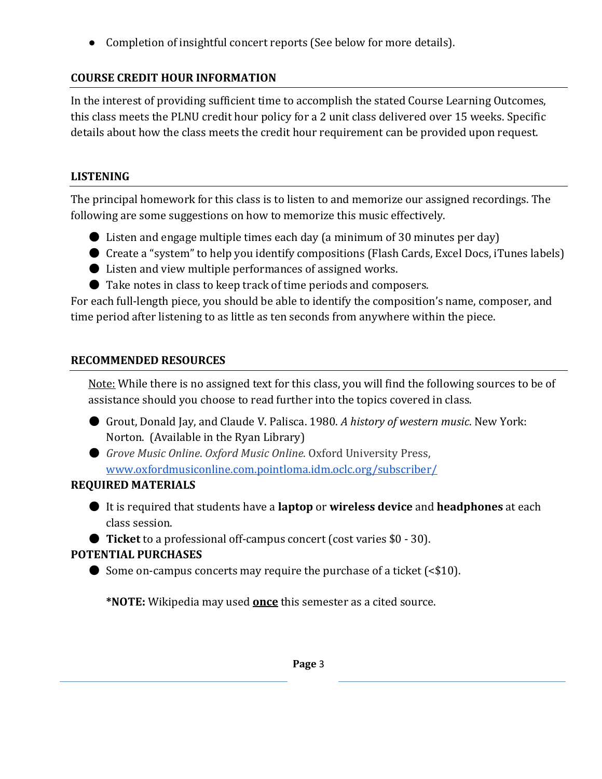● Completion of insightful concert reports (See below for more details).

# **COURSE CREDIT HOUR INFORMATION**

In the interest of providing sufficient time to accomplish the stated Course Learning Outcomes, this class meets the PLNU credit hour policy for a 2 unit class delivered over 15 weeks. Specific details about how the class meets the credit hour requirement can be provided upon request.

# **LISTENING**

The principal homework for this class is to listen to and memorize our assigned recordings. The following are some suggestions on how to memorize this music effectively.

- Listen and engage multiple times each day (a minimum of 30 minutes per day)
- Create a "system" to help you identify compositions (Flash Cards, Excel Docs, iTunes labels)
- Listen and view multiple performances of assigned works.
- Take notes in class to keep track of time periods and composers.

For each full-length piece, you should be able to identify the composition's name, composer, and time period after listening to as little as ten seconds from anywhere within the piece.

# **RECOMMENDED RESOURCES**

Note: While there is no assigned text for this class, you will find the following sources to be of assistance should you choose to read further into the topics covered in class.

- Grout, Donald Jay, and Claude V. Palisca. 1980. *A history of western music*. New York: Norton. (Available in the Ryan Library)
- *Grove Music Online. Oxford Music Online*. Oxford University Press, [www.oxfordmusiconline.com.pointloma.idm.oclc.org/subscriber/](http://www.oxfordmusiconline.com.pointloma.idm.oclc.org/subscriber/)

# **REQUIRED MATERIALS**

● It is required that students have a **laptop** or **wireless device** and **headphones** at each class session.

● **Ticket** to a professional off-campus concert (cost varies \$0 - 30).

# **POTENTIAL PURCHASES**

● Some on-campus concerts may require the purchase of a ticket (<\$10).

**\*NOTE:** Wikipedia may used **once** this semester as a cited source.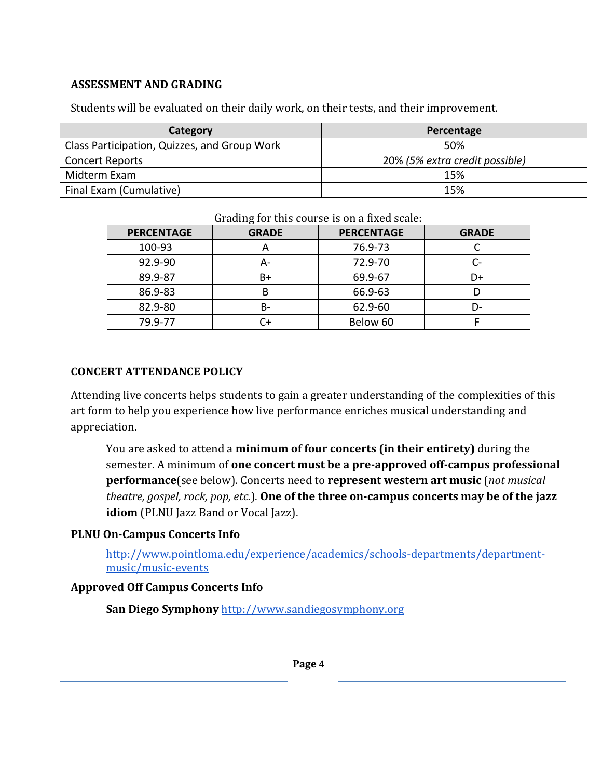#### **ASSESSMENT AND GRADING**

Students will be evaluated on their daily work, on their tests, and their improvement.

| Category                                     | Percentage                     |
|----------------------------------------------|--------------------------------|
| Class Participation, Quizzes, and Group Work | 50%                            |
| <b>Concert Reports</b>                       | 20% (5% extra credit possible) |
| Midterm Exam                                 | 15%                            |
| Final Exam (Cumulative)                      | 15%                            |

| <b>PERCENTAGE</b> | <b>GRADE</b> | <b>PERCENTAGE</b> | <b>GRADE</b> |
|-------------------|--------------|-------------------|--------------|
| 100-93            | n            | 76.9-73           |              |
| 92.9-90           | А-           | 72.9-70           | С-           |
| 89.9-87           | B+           | 69.9-67           | D+           |
| 86.9-83           | В            | 66.9-63           |              |
| 82.9-80           | B-           | 62.9-60           | D-           |
| 79.9-77           | Դ+           | Below 60          |              |

Grading for this course is on a fixed scale:

#### **CONCERT ATTENDANCE POLICY**

Attending live concerts helps students to gain a greater understanding of the complexities of this art form to help you experience how live performance enriches musical understanding and appreciation.

You are asked to attend a **minimum of four concerts (in their entirety)** during the semester. A minimum of **one concert must be a pre-approved off-campus professional performance**(see below). Concerts need to **represent western art music** (*not musical theatre, gospel, rock, pop, etc.*). **One of the three on-campus concerts may be of the jazz idiom** (PLNU Jazz Band or Vocal Jazz).

#### **PLNU On-Campus Concerts Info**

[http://www.pointloma.edu/experience/academics/schools-departments/department](http://www.pointloma.edu/experience/academics/schools-departments/department-music/music-events)[music/music-events](http://www.pointloma.edu/experience/academics/schools-departments/department-music/music-events)

### **Approved Off Campus Concerts Info**

San Diego Symphony [http://www.sandiegosymphony.org](http://www.sandiegosymphony.org/)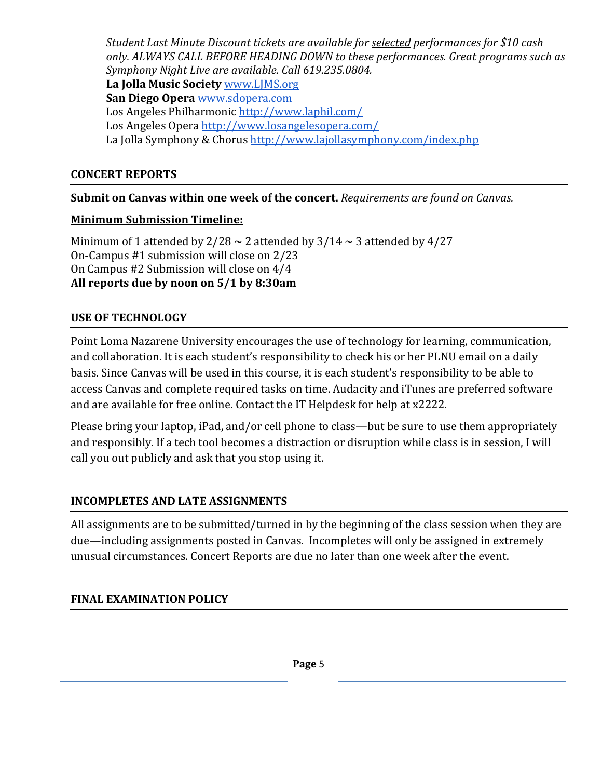*Student Last Minute Discount tickets are available for selected performances for \$10 cash only. ALWAYS CALL BEFORE HEADING DOWN to these performances. Great programs such as Symphony Night Live are available. Call 619.235.0804.* **La Jolla Music Society** [www.LJMS.org](http://www.ljms.org/) **San Diego Opera** [www.sdopera.com](http://www.sdopera.com/) Los Angeles Philharmonic<http://www.laphil.com/> Los Angeles Opera<http://www.losangelesopera.com/> La Jolla Symphony & Chorus<http://www.lajollasymphony.com/index.php>

#### **CONCERT REPORTS**

**Submit on Canvas within one week of the concert.** *Requirements are found on Canvas.*

### **Minimum Submission Timeline:**

Minimum of 1 attended by  $2/28 \sim 2$  attended by  $3/14 \sim 3$  attended by  $4/27$ On-Campus #1 submission will close on 2/23 On Campus #2 Submission will close on 4/4 **All reports due by noon on 5/1 by 8:30am**

### **USE OF TECHNOLOGY**

Point Loma Nazarene University encourages the use of technology for learning, communication, and collaboration. It is each student's responsibility to check his or her PLNU email on a daily basis. Since Canvas will be used in this course, it is each student's responsibility to be able to access Canvas and complete required tasks on time. Audacity and iTunes are preferred software and are available for free online. Contact the IT Helpdesk for help at x2222.

Please bring your laptop, iPad, and/or cell phone to class—but be sure to use them appropriately and responsibly. If a tech tool becomes a distraction or disruption while class is in session, I will call you out publicly and ask that you stop using it.

## **INCOMPLETES AND LATE ASSIGNMENTS**

All assignments are to be submitted/turned in by the beginning of the class session when they are due—including assignments posted in Canvas. Incompletes will only be assigned in extremely unusual circumstances. Concert Reports are due no later than one week after the event.

## **FINAL EXAMINATION POLICY**